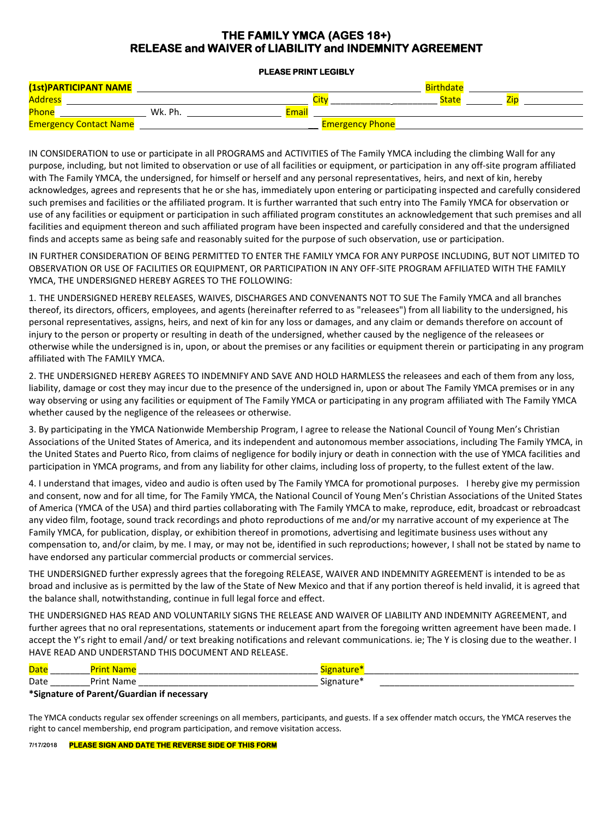# **THE FAMILY YMCA (AGES 18+) RELEASE and WAIVER of LIABILITY and INDEMNITY AGREEMENT**

#### **PLEASE PRINT LEGIBLY**

| (1st)PARTICIPANT NAME         |         |                        | Birthdat <sup>r</sup> |  |
|-------------------------------|---------|------------------------|-----------------------|--|
| <b>Address</b>                |         |                        | <b>State</b>          |  |
| Phone                         | Wk. Ph. | Email                  |                       |  |
| <b>Emergency Contact Name</b> |         | <b>Emergency Phone</b> |                       |  |

IN CONSIDERATION to use or participate in all PROGRAMS and ACTIVITIES of The Family YMCA including the climbing Wall for any purpose, including, but not limited to observation or use of all facilities or equipment, or participation in any off-site program affiliated with The Family YMCA, the undersigned, for himself or herself and any personal representatives, heirs, and next of kin, hereby acknowledges, agrees and represents that he or she has, immediately upon entering or participating inspected and carefully considered such premises and facilities or the affiliated program. It is further warranted that such entry into The Family YMCA for observation or use of any facilities or equipment or participation in such affiliated program constitutes an acknowledgement that such premises and all facilities and equipment thereon and such affiliated program have been inspected and carefully considered and that the undersigned finds and accepts same as being safe and reasonably suited for the purpose of such observation, use or participation.

IN FURTHER CONSIDERATION OF BEING PERMITTED TO ENTER THE FAMILY YMCA FOR ANY PURPOSE INCLUDING, BUT NOT LIMITED TO OBSERVATION OR USE OF FACILITIES OR EQUIPMENT, OR PARTICIPATION IN ANY OFF-SITE PROGRAM AFFILIATED WITH THE FAMILY YMCA, THE UNDERSIGNED HEREBY AGREES TO THE FOLLOWING:

1. THE UNDERSIGNED HEREBY RELEASES, WAIVES, DISCHARGES AND CONVENANTS NOT TO SUE The Family YMCA and all branches thereof, its directors, officers, employees, and agents (hereinafter referred to as "releasees") from all liability to the undersigned, his personal representatives, assigns, heirs, and next of kin for any loss or damages, and any claim or demands therefore on account of injury to the person or property or resulting in death of the undersigned, whether caused by the negligence of the releasees or otherwise while the undersigned is in, upon, or about the premises or any facilities or equipment therein or participating in any program affiliated with The FAMILY YMCA.

2. THE UNDERSIGNED HEREBY AGREES TO INDEMNIFY AND SAVE AND HOLD HARMLESS the releasees and each of them from any loss, liability, damage or cost they may incur due to the presence of the undersigned in, upon or about The Family YMCA premises or in any way observing or using any facilities or equipment of The Family YMCA or participating in any program affiliated with The Family YMCA whether caused by the negligence of the releasees or otherwise.

3. By participating in the YMCA Nationwide Membership Program, I agree to release the National Council of Young Men's Christian Associations of the United States of America, and its independent and autonomous member associations, including The Family YMCA, in the United States and Puerto Rico, from claims of negligence for bodily injury or death in connection with the use of YMCA facilities and participation in YMCA programs, and from any liability for other claims, including loss of property, to the fullest extent of the law.

4. I understand that images, video and audio is often used by The Family YMCA for promotional purposes. I hereby give my permission and consent, now and for all time, for The Family YMCA, the National Council of Young Men's Christian Associations of the United States of America (YMCA of the USA) and third parties collaborating with The Family YMCA to make, reproduce, edit, broadcast or rebroadcast any video film, footage, sound track recordings and photo reproductions of me and/or my narrative account of my experience at The Family YMCA, for publication, display, or exhibition thereof in promotions, advertising and legitimate business uses without any compensation to, and/or claim, by me. I may, or may not be, identified in such reproductions; however, I shall not be stated by name to have endorsed any particular commercial products or commercial services.

THE UNDERSIGNED further expressly agrees that the foregoing RELEASE, WAIVER AND INDEMNITY AGREEMENT is intended to be as broad and inclusive as is permitted by the law of the State of New Mexico and that if any portion thereof is held invalid, it is agreed that the balance shall, notwithstanding, continue in full legal force and effect.

THE UNDERSIGNED HAS READ AND VOLUNTARILY SIGNS THE RELEASE AND WAIVER OF LIABILITY AND INDEMNITY AGREEMENT, and further agrees that no oral representations, statements or inducement apart from the foregoing written agreement have been made. I accept the Y's right to email /and/ or text breaking notifications and relevant communications. ie; The Y is closing due to the weather. I HAVE READ AND UNDERSTAND THIS DOCUMENT AND RELEASE.

| Dat                                                          |                    |  |  |  |
|--------------------------------------------------------------|--------------------|--|--|--|
| Date                                                         | .Jrin<br>_________ |  |  |  |
| $*$ Claughing of Devent $\overline{C}$ is also if necessary. |                    |  |  |  |

**\*Signature of Parent/Guardian if necessary**

The YMCA conducts regular sex offender screenings on all members, participants, and guests. If a sex offender match occurs, the YMCA reserves the right to cancel membership, end program participation, and remove visitation access.